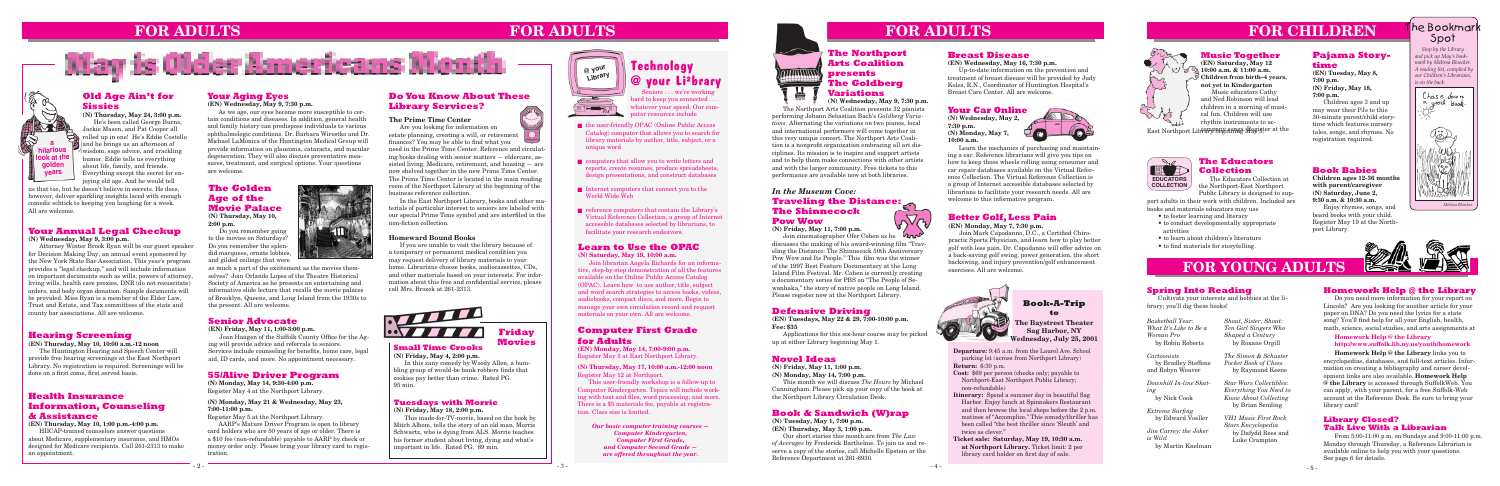**Departure:** 9:45 a.m. from the Laurel Ave. School parking lot (across from Northport Library) **Return:** 6:30 p.m.

**Cost:** \$69 per person (checks only; payable to Northport-East Northport Public Library; non-refundable)

- **Itinerary:** Spend a summer day in beautiful Sag Harbor. Enjoy lunch at Spinnakers Restaurant and then browse the local shops before the 2 p.m. matinee of "Accomplice." This comedy/thriller has been called "the best thriller since 'Sleuth' and twice as clever."
- **Ticket sale: Saturday, May 19, 10:30 a.m. at Northport Library.** Ticket limit: 2 per library card holder on first day of sale.

# **Book-A-Trip**

#### **Defensive Driving to**

**(EN) Tuesdays, May 22 & 29, 7:00-10:00 p.m. Fee: \$35** 

Applications for this six-hour course may be picked up at either Library beginning May 1.

#### **Book & Sandwich (W)rap**

**(N) Tuesday, May 1, 7:00 p.m. (EN) Thursday, May 3, 1:00 p.m.**

Our short stories this month are from *The Law of Averages* by Frederick Barthelme. To join us and reserve a copy of the stories, call Michelle Epstein or the Reference Department at 261-6930.

#### **55/Alive Driver Program**

**(N) Monday, May 14, 9:30-4:00 p.m.** Register May 4 at the Northport Library.

#### **(N) Monday, May 21 & Wednesday, May 23, 7:00-11:00 p.m.**

Register May 5 at the Northport Library.

AARP's Mature Driver Program is open to library card holders who are 50 years of age or older. There is a \$10 fee (non-refundable) payable to AARP by check or money order only. Please bring your library card to registration.

**The Baystreet Theater Sag Harbor, NY Wednesday, July 25, 2001**

### **FOR YOUNG ADULTS**

#### **Small Time Crooks (N) Friday, May 4, 2:00 p.m.**

In this zany comedy by Woody Allen, a bumbling group of would-be bank robbers finds that cookies pay better than crime. Rated PG. 95 min.

#### **Friday Movies**

#### **Tuesdays with Morrie**

**(N) Friday, May 18, 2:00 p.m.**

This made-for-TV-movie, based on the book by Mitch Albom, tells the story of an old man, Morrie Schwartz, who is dying from ALS. Morrie teaches his former student about living, dying and what's important in life. Rated PG. 89 min.



#### **Novel Ideas**

**(N) Friday, May 11, 1:00 p.m.**

**(N) Monday, May 14, 7:00 p.m.** This month we will discuss *The Hours* by Michael Cunningham. Please pick up your copy of the book at the Northport Library Circulation Desk.

### **FOR ADULTS**

#### **Health Insurance Information, Counseling & Assistance**

**(EN) Thursday, May 10, 1:00 p.m.-4:00 p.m.**

HIICAP-trained counselors answer questions about Medicare, supplementary insurance, and HMOs designed for Medicare recipients. Call 261-2313 to make an appointment.

#### **Your Annual Legal Checkup**

**(N) Wednesday, May 9, 3:00 p.m.**

Attorney Winter Brook Ryan will be our guest speaker for Decision Making Day, an annual event sponsored by the New York State Bar Association. This year's program provides a "legal checkup," and will include information on important documents such as wills, powers of attorney, living wills, health care proxies, DNR (do not resuscitate) orders, and body organ donation. Sample documents will be provided. Miss Ryan is a member of the Elder Law, Trust and Estate, and Tax committees of the state and county bar associations. All are welcome.

#### **Old Age Ain't for Sissies**

**(N) Thursday, May 24, 3:00 p.m.** He's been called George Burns, Jackie Mason, and Pat Cooper all **Fig. rolled up in one! He's Eddie Costello** and he brings us an afternoon of wisdom, sage advice, and crackling humor. Eddie tells us everything about life, family, and friends. Everything except the secret for enjoying old age. And he would tell

#### **Better Golf, Less Pain**

#### **(EN) Monday, May 7, 7:30 p.m.**

Join Mark Capodanno, D.C., a Certified Chiropractic Sports Physician, and learn how to play better golf with less pain. Dr. Capodanno will offer advice on a back-saving golf swing, power generation, the short backswing, and injury prevention/golf enhancement exercises. All are welcome.



#### **Senior Advocate**

**(EN) Friday, May 11, 1:00-3:00 p.m.**

 Joan Haugen of the Suffolk County Office for the Aging will provide advice and referrals to seniors. Services include counseling for benefits, home care, legal aid, ID cards, and more. No appointment necessary.

#### **Computer First Grade for Adults**

**(EN) Monday, May 14, 7:00-9:00 p.m.** Register May 5 at East Northport Library.

**(N) Thursday, May 17, 10:00 a.m.-12:00 noon** Register May 12 at Northport.

This user-friendly workshop is a follow-up to Computer Kindergarten. Topics will include working with text and files, word processing, and more. There is a \$5 materials fee, payable at registration. Class size is limited.

#### **Your Aging Eyes (EN) Wednesday, May 9, 7:30 p.m.**

Join cinematographer Ofer Cohen as he discusses the making of his award-winning film "Traveling the Distance: The Shinnecock 50th Anniversary Pow Wow and Its People." This film was the winner of the 1997 Best Feature Documentary at the Long Island Film Festival. Mr. Cohen is currently creating a documentary series for PBS on "The People of Sewanhaka," the story of native people on Long Island. Please register now at the Northport Library.

#### **Do You Know About These Library Services? ONNE TIL**

As we age, our eyes become more susceptible to certain conditions and diseases. In addition, general health and family history can predispose individuals to various ophthalmologic conditions. Dr. Barbara Wirostko and Dr. Michael LaMonica of the Huntington Medical Group will provide information on glaucoma, cataracts, and macular degeneration. They will also discuss preventative measures, treatment, and surgical options. Your questions are welcome.

#### **Hearing Screening**

**(EN) Thursday, May 10, 10:00 a.m.-12 noon**

The Huntington Hearing and Speech Center will provide free hearing screenings at the East Northport Library. No registration is required. Screenings will be done on a first come, first served basis.

#### **Breast Disease**

#### **(EN) Wednesday, May 16, 7:30 p.m.**

Up-to-date information on the prevention and treatment of breast disease will be provided by Judy Koles, R.N., Coordinator of Huntington Hospital's Breast Care Center. All are welcome.

us that too, but he doesn't believe in secrets. He does, however, deliver sparkling insights laced with enough comedic schtick to keeping you laughing for a week. All are welcome.

> as much a part of the excitement as the movies themselves? Join Orlando Lopes of the Theatre Historical Society of America as he presents an entertaining and informative slide lecture that recalls the movie palaces of Brooklyn, Queens, and Long Island from the 1930s to the present. All are welcome.



#### **The Golden Age of the Movie Palace (N) Thursday, May 10,**

**2:00 p.m.**

Do you remember going to the movies on Saturdays? Do you remember the splendid marquees, ornate lobbies, and gilded ceilings that were

#### **Your Car Online**

**(N) Wednesday, May 2, 7:30 p.m. (N) Monday, May 7, 10:00 a.m.**



Learn the mechanics of purchasing and maintaining a car. Reference librarians will give you tips on how to keep those wheels rolling using consumer and car repair databases available on the Virtual Reference Collection. The Virtual Reference Collection is a group of Internet accessible databases selected by librarians to facilitate your research needs. All are welcome to this informative program.

- the user-friendly OPAC (Online Public Access Catalog) computer that allows you to search for library materials by author, title, subject, or a unique word
- computers that allow you to write letters and reports, create resumes, produce spreadsheets, design presentations, and construct databases
- Internet computers that connect you to the World Wide Web
- reference computers that contain the Library's Virtual Reference Collection, a group of Internet accessible databases selected by librarians, to facilitate your research endeavors.

# **FOR ADULTS**

#### **Learn to Use the OPAC**

**(N) Saturday, May 19, 10:00 a.m.**

Join librarian Angela Richards for an informative, step-by-step demonstration of all the features available on the Online Public Access Catalog (OPAC). Learn how to use author, title, subject and word search strategies to access books, videos, audiobooks, compact discs, and more. Begin to manage your own circulation record and request materials on your own. All are welcome.

#### **Pajama Storytime**

**(EN) Tuesday, May 8, 7:00 p.m. (N) Friday, May 18, 7:00 p.m.**

Children ages 3 and up may wear their PJs to this 30-minute parent/child storytime which features nursery tales, songs, and rhymes. No registration required.

# **FOR CHILDREN**



 *Stop by the Library and pick up May's bookmark by Melissa Bloecker. A reading list, compiled by our Children's Librarians, is on the back.*





#### **Book Babies**

**Children ages 12-36 months with parent/caregiver (N) Saturday, June 2, 9:30 a.m. & 10:30 a.m.** Enjoy rhymes, songs, and

board books with your child. Register May 19 at the Northport Library.

#### **The Prime Time Center**

Are you looking for information on estate planning, creating a will, or retirement finances? You may be able to find what you

need in the Prime Time Center. Reference and circulating books dealing with senior matters — eldercare, assisted living, Medicare, retirement, and housing — are now shelved together in the new Prime Time Center. The Prime Time Center is located in the main reading room of the Northport Library at the beginning of the business reference collection.

In the East Northport Library, books and other materials of particular interest to seniors are labeled with our special Prime Time symbol and are interfiled in the non-fiction collection.

#### **Homeward Bound Books**

If you are unable to visit the library because of a temporary or permanent medical condition you may request delivery of library materials to your home. Librarians choose books, audiocassettes, CDs, and other materials based on your interests. For information about this free and confidential service, please call Mrs. Brozek at 261-2313.



#### *In the Museum Cove:* **Traveling the Distance: The Shinnecock**   $\sqrt{\gamma}$ **Pow Wow**

**(N) Friday, May 11, 7:00 p.m.**

*<u>FOLLOW</u>* 

#### **The Northport Arts Coalition presents The Goldberg Variations**

**(N) Wednesday, May 9, 7:30 p.m.**

The Northport Arts Coalition presents 32 pianists performing Johann Sebastian Bach's *Goldberg Variations*. Alternating the variations on two pianos, local and international performers will come together in this very unique concert. The Northport Arts Coalition is a nonprofit organization embracing all art disciplines. Its mission is to inspire and support artists and to help them make connections with other artists and with the larger community. Free tickets to this performance are available now at both libraries.

*Our basic computer training courses — Computer Kindergarten, Computer First Grade, and Computer Second Grade are offered throughout the year.*

#### **Spring Into Reading**

Cultivate your interests and hobbies at the library; you'll dig these books!

*Basketball Year: What It's Like to Be a Woman Pro* by Robin Roberts

*Cartoonists* by Bradley Steffens and Robyn Weaver

*Downhill In-line Skating* by Nick Cook

*Extreme Surfing* by Edward Voeller

*Jim Carrey: the Joker is Wild* by Martin Knelman

#### **Music Together**

**(EN) Saturday, May 12 10:00 a.m. & 11:00 a.m. Children from birth–4 years, not yet in Kindergarten** Music educators Cathy and Ned Robinson will lead children in a morning of musical fun. Children will use rhythm instruments to ac-

East Northport Library beginning Magister at the

#### **The Educators Collection**

The Educators Collection at the Northport-East Northport **COLLECTION** Public Library is designed to sup-

### **EDUCATORS**

port adults in their work with children. Included are books and materials educators may use

- to foster learning and literacy
- to conduct developmentally appropriate activities
- to learn about children's literature
- to find materials for storytelling.

#### **Homework Help @ the Library**

Do you need more information for your report on Lincoln? Are you looking for another article for your paper on DNA? Do you need the lyrics for a state song? You'll find help for all your English, health, math, science, social studies, and arts assignments at

#### **Homework Help @ the Library http://www.suffolk.lib.ny.us/youth/homework**

**Homework Help @ the Library** links you to encyclopedias, databases, and full-text articles. Information on creating a bibliography and career development links are also available. **Homework Help @ the Library** is accessed through SuffolkWeb. You can apply, with your parent, for a free Suffolk-Web account at the Reference Desk. Be sure to bring your library card!

*Shout, Sister, Shout: Ten Girl Singers Who Shaped a Century* by Roxane Orgill

*The Simon & Schuster Pocket Book of Chess* by Raymond Keene

*Star Wars Collectibles: Everything You Need to Know About Collecting* by Brian Semling

*VH1 Music First Rock Stars Encyclopedia* by Dafydd Rees and Luke Crampton

#### **Library Closed? Talk Live With a Librarian**

From 5:00-11:00 p.m. on Sundays and 9:00-11:00 p.m. Monday through Thursday, a Reference Librarian is available online to help you with your questions. See page 6 for details.

### Technology @ your Li²brary

Seniors . . . we're working hard to keep you connected . . whatever your speed. Our computer resources include



# **FOR ADULTS**